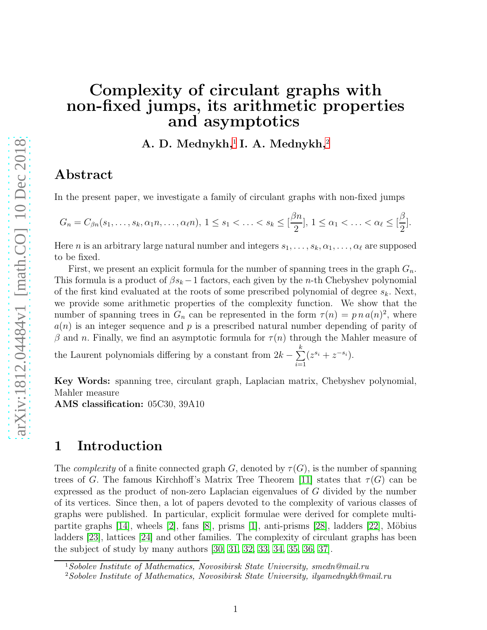# Complexity of circulant graphs with non-fixed jumps, its arithmetic properties and asymptotics

A. D. Mednykh,<sup>[1](#page-0-0)</sup> I. A. Mednykh,<sup>[2](#page-0-1)</sup>

### Abstract

In the present paper, we investigate a family of circulant graphs with non-fixed jumps

$$
G_n = C_{\beta n}(s_1,\ldots,s_k,\alpha_1 n,\ldots,\alpha_\ell n), 1 \le s_1 < \ldots < s_k \le \lfloor \frac{\beta n}{2} \rfloor, 1 \le \alpha_1 < \ldots < \alpha_\ell \le \lfloor \frac{\beta}{2} \rfloor.
$$

Here n is an arbitrary large natural number and integers  $s_1, \ldots, s_k, \alpha_1, \ldots, \alpha_\ell$  are supposed to be fixed.

First, we present an explicit formula for the number of spanning trees in the graph  $G_n$ . This formula is a product of  $\beta s_k - 1$  factors, each given by the *n*-th Chebyshev polynomial of the first kind evaluated at the roots of some prescribed polynomial of degree  $s_k$ . Next, we provide some arithmetic properties of the complexity function. We show that the number of spanning trees in  $G_n$  can be represented in the form  $\tau(n) = p n a(n)^2$ , where  $a(n)$  is an integer sequence and p is a prescribed natural number depending of parity of β and *n*. Finally, we find an asymptotic formula for  $\tau(n)$  through the Mahler measure of the Laurent polynomials differing by a constant from  $2k - \sum_{i=1}^{k}$  $\frac{i=1}{i}$  $(z^{s_i} + z^{-s_i}).$ 

Key Words: spanning tree, circulant graph, Laplacian matrix, Chebyshev polynomial, Mahler measure

AMS classification: 05C30, 39A10

### 1 Introduction

The *complexity* of a finite connected graph G, denoted by  $\tau(G)$ , is the number of spanning trees of G. The famous Kirchhoff's Matrix Tree Theorem [\[11\]](#page-14-0) states that  $\tau(G)$  can be expressed as the product of non-zero Laplacian eigenvalues of G divided by the number of its vertices. Since then, a lot of papers devoted to the complexity of various classes of graphs were published. In particular, explicit formulae were derived for complete multipartite graphs  $[14]$ , wheels  $[2]$ , fans  $[8]$ , prisms  $[1]$ , anti-prisms  $[28]$ , ladders  $[22]$ , Möbius ladders [\[23\]](#page-15-2), lattices [\[24\]](#page-15-3) and other families. The complexity of circulant graphs has been the subject of study by many authors [\[30,](#page-15-4) [31,](#page-16-0) [32,](#page-16-1) [33,](#page-16-2) [34,](#page-16-3) [35,](#page-16-4) [36,](#page-16-5) [37\]](#page-16-6).

<sup>1</sup>Sobolev Institute of Mathematics, Novosibirsk State University, smedn@mail.ru

<span id="page-0-1"></span><span id="page-0-0"></span><sup>2</sup>Sobolev Institute of Mathematics, Novosibirsk State University, ilyamednykh@mail.ru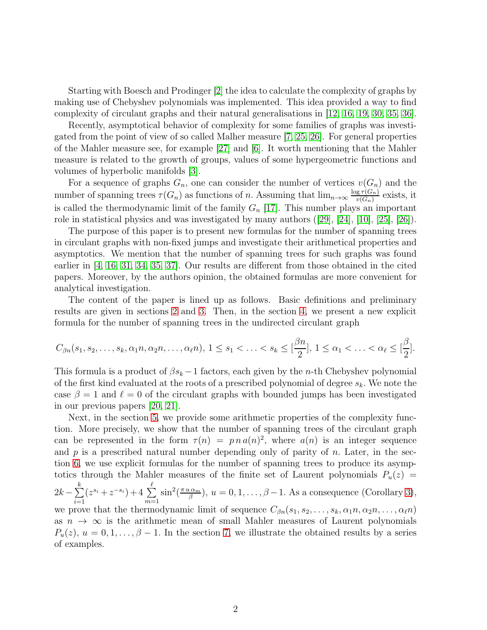Starting with Boesch and Prodinger [\[2\]](#page-14-2) the idea to calculate the complexity of graphs by making use of Chebyshev polynomials was implemented. This idea provided a way to find complexity of circulant graphs and their natural generalisations in [\[12,](#page-14-5) [16,](#page-15-5) [19,](#page-15-6) [30,](#page-15-4) [35,](#page-16-4) [36\]](#page-16-5).

Recently, asymptotical behavior of complexity for some families of graphs was investigated from the point of view of so called Malher measure [\[7,](#page-14-6) [25,](#page-15-7) [26\]](#page-15-8). For general properties of the Mahler measure see, for example [\[27\]](#page-15-9) and [\[6\]](#page-14-7). It worth mentioning that the Mahler measure is related to the growth of groups, values of some hypergeometric functions and volumes of hyperbolic manifolds [\[3\]](#page-14-8).

For a sequence of graphs  $G_n$ , one can consider the number of vertices  $v(G_n)$  and the number of spanning trees  $\tau(G_n)$  as functions of n. Assuming that  $\lim_{n\to\infty} \frac{\log \tau(G_n)}{v(G_n)}$  $\frac{\mathbf{g}\tau(\mathbf{G}_n)}{v(G_n)}$  exists, it is called the thermodynamic limit of the family  $G_n$  [\[17\]](#page-15-10). This number plays an important role in statistical physics and was investigated by many authors ([\[29\]](#page-15-11), [\[24\]](#page-15-3), [\[10\]](#page-14-9), [\[25\]](#page-15-7), [\[26\]](#page-15-8)).

The purpose of this paper is to present new formulas for the number of spanning trees in circulant graphs with non-fixed jumps and investigate their arithmetical properties and asymptotics. We mention that the number of spanning trees for such graphs was found earlier in [\[4,](#page-14-10) [16,](#page-15-5) [31,](#page-16-0) [34,](#page-16-3) [35,](#page-16-4) [37\]](#page-16-6). Our results are different from those obtained in the cited papers. Moreover, by the authors opinion, the obtained formulas are more convenient for analytical investigation.

The content of the paper is lined up as follows. Basic definitions and preliminary results are given in sections [2](#page-2-0) and [3.](#page-3-0) Then, in the section [4,](#page-4-0) we present a new explicit formula for the number of spanning trees in the undirected circulant graph

$$
C_{\beta n}(s_1, s_2, \ldots, s_k, \alpha_1 n, \alpha_2 n, \ldots, \alpha_\ell n), 1 \le s_1 < \ldots < s_k \le \lfloor \frac{\beta n}{2} \rfloor, 1 \le \alpha_1 < \ldots < \alpha_\ell \le \lfloor \frac{\beta}{2} \rfloor.
$$

This formula is a product of  $\beta s_k - 1$  factors, each given by the *n*-th Chebyshev polynomial of the first kind evaluated at the roots of a prescribed polynomial of degree  $s_k$ . We note the case  $\beta = 1$  and  $\ell = 0$  of the circulant graphs with bounded jumps has been investigated in our previous papers [\[20,](#page-15-12) [21\]](#page-15-13).

Next, in the section [5,](#page-9-0) we provide some arithmetic properties of the complexity function. More precisely, we show that the number of spanning trees of the circulant graph can be represented in the form  $\tau(n) = p n a(n)^2$ , where  $a(n)$  is an integer sequence and  $p$  is a prescribed natural number depending only of parity of  $n$ . Later, in the section [6,](#page-11-0) we use explicit formulas for the number of spanning trees to produce its asymptotics through the Mahler measures of the finite set of Laurent polynomials  $P_u(z)$  =  $2k-\sum_{i=1}^k$  $i=1$  $(z^{s_i}+z^{-s_i})+4\sum^{\ell}$  $m=1$  $\sin^2(\frac{\pi u \alpha_m}{\beta})$  $\left(\frac{\alpha_m}{\beta}\right), u = 0, 1, \ldots, \beta - 1$ . As a consequence (Corollary [3\)](#page-12-0), we prove that the thermodynamic limit of sequence  $C_{\beta n}(s_1, s_2, \ldots, s_k, \alpha_1 n, \alpha_2 n, \ldots, \alpha_\ell n)$ as  $n \to \infty$  is the arithmetic mean of small Mahler measures of Laurent polynomials  $P_u(z)$ ,  $u = 0, 1, \ldots, \beta - 1$ . In the section [7,](#page-12-1) we illustrate the obtained results by a series of examples.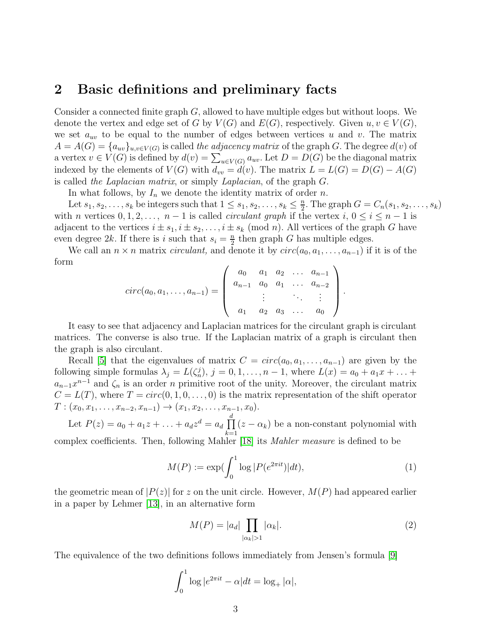### <span id="page-2-0"></span>2 Basic definitions and preliminary facts

Consider a connected finite graph G, allowed to have multiple edges but without loops. We denote the vertex and edge set of G by  $V(G)$  and  $E(G)$ , respectively. Given  $u, v \in V(G)$ , we set  $a_{uv}$  to be equal to the number of edges between vertices u and v. The matrix  $A = A(G) = \{a_{uv}\}_{u,v \in V(G)}$  is called the adjacency matrix of the graph G. The degree  $d(v)$  of a vertex  $v \in V(G)$  is defined by  $d(v) = \sum_{u \in V(G)} a_{uv}$ . Let  $D = D(G)$  be the diagonal matrix indexed by the elements of  $V(G)$  with  $d_{vv} = d(v)$ . The matrix  $L = L(G) = D(G) - A(G)$ is called the Laplacian matrix, or simply Laplacian, of the graph G.

In what follows, by  $I_n$  we denote the identity matrix of order n.

Let  $s_1, s_2, \ldots, s_k$  be integers such that  $1 \leq s_1, s_2, \ldots, s_k \leq \frac{n}{2}$  $\frac{n}{2}$ . The graph  $G = C_n(s_1, s_2, \ldots, s_k)$ with n vertices  $0, 1, 2, \ldots, n-1$  is called *circulant graph* if the vertex  $i, 0 \le i \le n-1$  is adjacent to the vertices  $i \pm s_1, i \pm s_2, \ldots, i \pm s_k \pmod{n}$ . All vertices of the graph G have even degree 2k. If there is i such that  $s_i = \frac{n}{2}$  $\frac{n}{2}$  then graph G has multiple edges.

We call an  $n \times n$  matrix *circulant*, and denote it by  $circ(a_0, a_1, \ldots, a_{n-1})$  if it is of the form

$$
circ(a_0, a_1, \ldots, a_{n-1}) = \left( \begin{array}{cccc} a_0 & a_1 & a_2 & \ldots & a_{n-1} \\ a_{n-1} & a_0 & a_1 & \ldots & a_{n-2} \\ \vdots & \vdots & \ddots & \vdots \\ a_1 & a_2 & a_3 & \ldots & a_0 \end{array} \right).
$$

It easy to see that adjacency and Laplacian matrices for the circulant graph is circulant matrices. The converse is also true. If the Laplacian matrix of a graph is circulant then the graph is also circulant.

Recall [\[5\]](#page-14-11) that the eigenvalues of matrix  $C = circ(a_0, a_1, \ldots, a_{n-1})$  are given by the following simple formulas  $\lambda_j = L(\zeta_n^j), j = 0, 1, \ldots, n-1$ , where  $L(x) = a_0 + a_1 x + \ldots$  $a_{n-1}x^{n-1}$  and  $\zeta_n$  is an order n primitive root of the unity. Moreover, the circulant matrix  $C = L(T)$ , where  $T = circ(0, 1, 0, \ldots, 0)$  is the matrix representation of the shift operator  $T: (x_0, x_1, \ldots, x_{n-2}, x_{n-1}) \rightarrow (x_1, x_2, \ldots, x_{n-1}, x_0).$ 

Let  $P(z) = a_0 + a_1 z + \ldots + a_d z^d = a_d \prod^d$  $\prod_{k=1}$  ( $z - \alpha_k$ ) be a non-constant polynomial with complex coefficients. Then, following Mahler [\[18\]](#page-15-14) its Mahler measure is defined to be

$$
M(P) := \exp(\int_0^1 \log |P(e^{2\pi i t})| dt), \tag{1}
$$

the geometric mean of  $|P(z)|$  for z on the unit circle. However,  $M(P)$  had appeared earlier in a paper by Lehmer [\[13\]](#page-14-12), in an alternative form

$$
M(P) = |a_d| \prod_{|\alpha_k|>1} |\alpha_k|.
$$
 (2)

The equivalence of the two definitions follows immediately from Jensen's formula [\[9\]](#page-14-13)

$$
\int_0^1 \log |e^{2\pi it} - \alpha| dt = \log_+ |\alpha|,
$$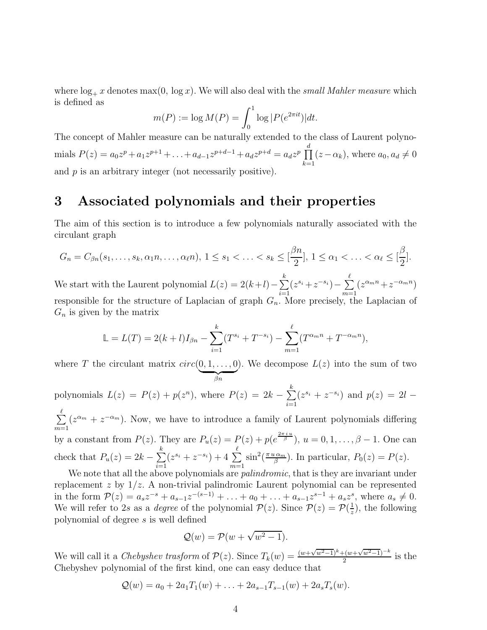where  $\log_+ x$  denotes max(0,  $\log x$ ). We will also deal with the small Mahler measure which is defined as

$$
m(P) := \log M(P) = \int_0^1 \log |P(e^{2\pi i t})| dt.
$$

The concept of Mahler measure can be naturally extended to the class of Laurent polynomials  $P(z) = a_0 z^p + a_1 z^{p+1} + \ldots + a_{d-1} z^{p+d-1} + a_d z^{p+d} = a_d z^p \prod_{i=1}^d$  $\prod_{k=1} (z - \alpha_k)$ , where  $a_0, a_d \neq 0$ and  $p$  is an arbitrary integer (not necessarily positive).

### <span id="page-3-0"></span>3 Associated polynomials and their properties

The aim of this section is to introduce a few polynomials naturally associated with the circulant graph

$$
G_n = C_{\beta n}(s_1,\ldots,s_k,\alpha_1 n,\ldots,\alpha_\ell n), 1 \le s_1 < \ldots < s_k \le \left[\frac{\beta n}{2}\right], 1 \le \alpha_1 < \ldots < \alpha_\ell \le \left[\frac{\beta}{2}\right].
$$

We start with the Laurent polynomial  $L(z) = 2(k+l) - \sum_{i=1}^{k}$  $\frac{i=1}{i}$  $(z^{s_i}+z^{-s_i})-\sum_{i=1}^{\ell}$  $m=1$  $(z^{\alpha_m n}+z^{-\alpha_m n})$ responsible for the structure of Laplacian of graph  $G_n$ . More precisely, the Laplacian of  $G_n$  is given by the matrix

$$
\mathbb{L} = L(T) = 2(k+l)I_{\beta n} - \sum_{i=1}^{k} (T^{s_i} + T^{-s_i}) - \sum_{m=1}^{\ell} (T^{\alpha_m n} + T^{-\alpha_m n}),
$$

where T the circulant matrix  $circ(0, 1, \ldots, 0)$  $\beta n$ ). We decompose  $L(z)$  into the sum of two

polynomials  $L(z) = P(z) + p(z^n)$ , where  $P(z) = 2k - \sum_{n=1}^{k}$  $i=1$  $(z^{s_i} + z^{-s_i})$  and  $p(z) = 2l -$ 

 $\sum_{i=1}^{k}$  $m=1$  $(z^{\alpha_m} + z^{-\alpha_m})$ . Now, we have to introduce a family of Laurent polynomials differing by a constant from  $P(z)$ . They are  $P_u(z) = P(z) + p(e^{\frac{2\pi i u}{\beta}}), u = 0, 1, ..., \beta - 1$ . One can check that  $P_u(z) = 2k - \sum_{i=1}^k$  $i=1$  $(z^{s_i} + z^{-s_i}) + 4 \sum^{\ell}$  $m=1$  $\sin^2(\frac{\pi u \alpha_m}{\beta})$  $\frac{\mu \alpha_m}{\beta}$ ). In particular,  $P_0(z) = P(z)$ .

We note that all the above polynomials are *palindromic*, that is they are invariant under replacement  $z$  by  $1/z$ . A non-trivial palindromic Laurent polynomial can be represented in the form  $\mathcal{P}(z) = a_s z^{-s} + a_{s-1} z^{-(s-1)} + \ldots + a_0 + \ldots + a_{s-1} z^{s-1} + a_s z^s$ , where  $a_s \neq 0$ . We will refer to 2s as a *degree* of the polynomial  $P(z)$ . Since  $P(z) = P(\frac{1}{z})$  $\frac{1}{z}$ , the following polynomial of degree s is well defined

$$
\mathcal{Q}(w) = \mathcal{P}(w + \sqrt{w^2 - 1}).
$$

We will call it a *Chebyshev trasform* of  $\mathcal{P}(z)$ . Since  $T_k(w) = \frac{(w + \sqrt{w^2-1})^k + (w + \sqrt{w^2-1})^{-k}}{2}$  is the Chebyshev polynomial of the first kind, one can easy deduce that

$$
Q(w) = a_0 + 2a_1T_1(w) + \ldots + 2a_{s-1}T_{s-1}(w) + 2a_sT_s(w).
$$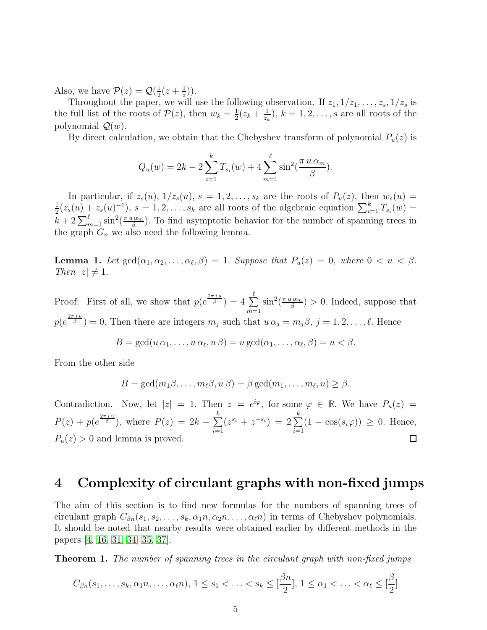Also, we have  $\mathcal{P}(z) = \mathcal{Q}(\frac{1}{2})$  $rac{1}{2}(z+\frac{1}{z})$  $(\frac{1}{z})$ .

Throughout the paper, we will use the following observation. If  $z_1, 1/z_1, \ldots, z_s, 1/z_s$  is the full list of the roots of  $P(z)$ , then  $w_k = \frac{1}{2}$  $\frac{1}{2}(z_k + \frac{1}{z_k}$  $(\frac{1}{z_k}), k = 1, 2, \ldots, s$  are all roots of the polynomial  $\mathcal{Q}(w)$ .

By direct calculation, we obtain that the Chebyshev transform of polynomial  $P_u(z)$  is

$$
Q_u(w) = 2k - 2\sum_{i=1}^k T_{s_i}(w) + 4\sum_{m=1}^\ell \sin^2(\frac{\pi u \alpha_m}{\beta}).
$$

In particular, if  $z_s(u)$ ,  $1/z_s(u)$ ,  $s = 1, 2, \ldots, s_k$  are the roots of  $P_u(z)$ , then  $w_s(u) =$ 1  $\frac{1}{2}(z_s(u)+z_s(u)^{-1}), s=1,2,\ldots,s_k$  are all roots of the algebraic equation  $\sum_{i=1}^k T_{s_i}(w)=$  $k+2\sum_{m=1}^{\ell} \sin^2(\frac{\pi u\alpha_m}{\beta})$  $\frac{\mu\alpha_m}{\beta}$ ). To find asymptotic behavior for the number of spanning trees in the graph  $G_n$  we also need the following lemma.

<span id="page-4-2"></span>**Lemma 1.** Let  $gcd(\alpha_1, \alpha_2, \ldots, \alpha_\ell, \beta) = 1$ . Suppose that  $P_u(z) = 0$ , where  $0 < u < \beta$ . Then  $|z| \neq 1$ .

Proof: First of all, we show that  $p(e^{\frac{2\pi i u}{\beta}}) = 4 \sum_{n=1}^{\infty}$  $m=1$  $\sin^2(\frac{\pi u \alpha_m}{\beta})$  $\binom{n\alpha_m}{\beta} > 0$ . Indeed, suppose that  $p(e^{\frac{2\pi i u}{\beta}})=0.$  Then there are integers  $m_j$  such that  $u\alpha_j=m_j\beta, j=1,2,\ldots,\ell.$  Hence

$$
B = \gcd(u \alpha_1, \dots, u \alpha_\ell, u \beta) = u \gcd(\alpha_1, \dots, \alpha_\ell, \beta) = u < \beta.
$$

From the other side

$$
B = \gcd(m_1\beta,\ldots,m_\ell\beta,u\beta) = \beta \gcd(m_1,\ldots,m_\ell,u) \geq \beta.
$$

Contradiction. Now, let  $|z| = 1$ . Then  $z = e^{i\varphi}$ , for some  $\varphi \in \mathbb{R}$ . We have  $P_u(z) =$  $P(z) + p(e^{\frac{2\pi i u}{\beta}})$ , where  $P(z) = 2k - \sum_{n=1}^{k}$  $(z^{s_i} + z^{-s_i}) = 2 \sum_{i=1}^{k}$  $\sum_{i=1} (1 - \cos(s_i \varphi)) \geq 0$ . Hence,  $i=1$  $P_u(z) > 0$  and lemma is proved.  $\Box$ 

### <span id="page-4-0"></span>4 Complexity of circulant graphs with non-fixed jumps

The aim of this section is to find new formulas for the numbers of spanning trees of circulant graph  $C_{\beta n}(s_1, s_2, \ldots, s_k, \alpha_1 n, \alpha_2 n, \ldots, \alpha_\ell n)$  in terms of Chebyshev polynomials. It should be noted that nearby results were obtained earlier by different methods in the papers [\[4,](#page-14-10) [16,](#page-15-5) [31,](#page-16-0) [34,](#page-16-3) [35,](#page-16-4) [37\]](#page-16-6).

<span id="page-4-1"></span>**Theorem 1.** The number of spanning trees in the circulant graph with non-fixed jumps

$$
C_{\beta n}(s_1,\ldots,s_k,\alpha_1 n,\ldots,\alpha_\ell n),\ 1\leq s_1<\ldots
$$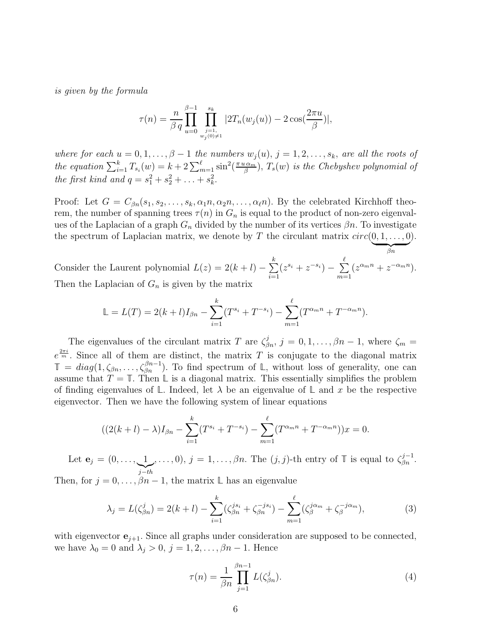is given by the formula

$$
\tau(n) = \frac{n}{\beta q} \prod_{u=0}^{\beta-1} \prod_{\substack{j=1, \\ w_j(0) \neq 1}}^{s_k} |2T_n(w_j(u)) - 2\cos(\frac{2\pi u}{\beta})|,
$$

where for each  $u = 0, 1, \ldots, \beta - 1$  the numbers  $w_j(u)$ ,  $j = 1, 2, \ldots, s_k$ , are all the roots of the equation  $\sum_{i=1}^{k} T_{s_i}(w) = k + 2 \sum_{m=1}^{\ell} \sin^2(\frac{\pi u \alpha_m}{\beta})$  $\left( \frac{\alpha_m}{\beta} \right), \, T_s(w)$  is the Chebyshev polynomial of the first kind and  $q = s_1^2 + s_2^2 + \ldots + s_k^2$ .

Proof: Let  $G = C_{\beta n}(s_1, s_2, \ldots, s_k, \alpha_1 n, \alpha_2 n, \ldots, \alpha_\ell n)$ . By the celebrated Kirchhoff theorem, the number of spanning trees  $\tau(n)$  in  $G_n$  is equal to the product of non-zero eigenvalues of the Laplacian of a graph  $G_n$  divided by the number of its vertices  $\beta n$ . To investigate the spectrum of Laplacian matrix, we denote by T the circulant matrix  $circ(0, 1, \ldots, 0)$ ).

 $\beta_n$ Consider the Laurent polynomial  $L(z) = 2(k+l) - \sum_{i=1}^{k}$  $i=1$  $(z^{s_i} + z^{-s_i}) - \sum_{i=1}^{\ell}$  $m=1$  $(z^{\alpha_m n} + z^{-\alpha_m n}).$ Then the Laplacian of  $G_n$  is given by the matrix

$$
\mathbb{L} = L(T) = 2(k+l)I_{\beta n} - \sum_{i=1}^{k} (T^{s_i} + T^{-s_i}) - \sum_{m=1}^{\ell} (T^{\alpha_m n} + T^{-\alpha_m n}).
$$

The eigenvalues of the circulant matrix T are  $\zeta_{\beta n}^j$ ,  $j = 0, 1, \ldots, \beta n - 1$ , where  $\zeta_m =$  $e^{\frac{2\pi i}{m}}$ . Since all of them are distinct, the matrix T is conjugate to the diagonal matrix  $\mathbb{T} = diag(1, \zeta_{\beta n}, \dots, \zeta_{\beta n}^{\beta n-1})$ . To find spectrum of L, without loss of generality, one can assume that  $T = \mathbb{T}$ . Then  $\mathbb{L}$  is a diagonal matrix. This essentially simplifies the problem of finding eigenvalues of  $\mathbb{L}$ . Indeed, let  $\lambda$  be an eigenvalue of  $\mathbb{L}$  and x be the respective eigenvector. Then we have the following system of linear equations

$$
((2(k+l)-\lambda)I_{\beta n}-\sum_{i=1}^{k}(T^{s_i}+T^{-s_i})-\sum_{m=1}^{\ell}(T^{\alpha_m n}+T^{-\alpha_m n}))x=0.
$$

Let  $\mathbf{e}_j = (0, \ldots, 1)$  $\sum_{j-th}$ ,...,0),  $j = 1, \ldots, \beta n$ . The  $(j, j)$ -th entry of  $\mathbb{T}$  is equal to  $\zeta_{\beta n}^{j-1}$ .

Then, for  $j = 0, \ldots, \beta n - 1$ , the matrix  $\mathbb{L}$  has an eigenvalue

$$
\lambda_j = L(\zeta_{\beta n}^j) = 2(k+l) - \sum_{i=1}^k (\zeta_{\beta n}^{js_i} + \zeta_{\beta n}^{-js_i}) - \sum_{m=1}^\ell (\zeta_{\beta}^{j\alpha_m} + \zeta_{\beta}^{-j\alpha_m}),\tag{3}
$$

with eigenvector  $e_{j+1}$ . Since all graphs under consideration are supposed to be connected, we have  $\lambda_0 = 0$  and  $\lambda_j > 0$ ,  $j = 1, 2, \ldots, \beta n - 1$ . Hence

<span id="page-5-0"></span>
$$
\tau(n) = \frac{1}{\beta n} \prod_{j=1}^{\beta n - 1} L(\zeta_{\beta n}^j). \tag{4}
$$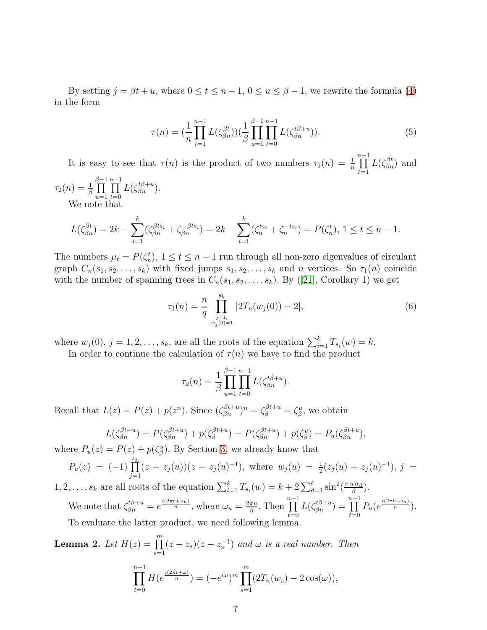By setting  $j = \beta t + u$ , where  $0 \le t \le n - 1$ ,  $0 \le u \le \beta - 1$ , we rewrite the formula [\(4\)](#page-5-0) in the form

$$
\tau(n) = \left(\frac{1}{n} \prod_{t=1}^{n-1} L(\zeta_{\beta n}^{\beta t})\right) \left(\frac{1}{\beta} \prod_{u=1}^{\beta-1} \prod_{t=0}^{n-1} L(\zeta_{\beta n}^{t\beta+u})\right).
$$
(5)

It is easy to see that  $\tau(n)$  is the product of two numbers  $\tau_1(n) = \frac{1}{n} \prod_{i=1}^{n-1}$  $t=1$  $L(\zeta_{\beta n}^{\beta t})$  and

$$
\tau_2(n) = \frac{1}{\beta} \prod_{u=1}^{\beta-1} \prod_{t=0}^{n-1} L(\zeta_{\beta n}^{t\beta+u}).
$$
  
We note that

$$
L(\zeta_{\beta n}^{\beta t}) = 2k - \sum_{i=1}^{k} (\zeta_{\beta n}^{\beta t s_i} + \zeta_{\beta n}^{-\beta t s_i}) = 2k - \sum_{i=1}^{k} (\zeta_{n}^{t s_i} + \zeta_{n}^{-t s_i}) = P(\zeta_{n}^{t}), 1 \le t \le n - 1.
$$

The numbers  $\mu_t = P(\zeta_n^t), 1 \le t \le n-1$  run through all non-zero eigenvalues of circulant graph  $C_n(s_1, s_2, \ldots, s_k)$  with fixed jumps  $s_1, s_2, \ldots, s_k$  and n vertices. So  $\tau_1(n)$  coincide with the number of spanning trees in  $C_n(s_1, s_2, \ldots, s_k)$ . By ([\[21\]](#page-15-13), Corollary 1) we get

<span id="page-6-1"></span>
$$
\tau_1(n) = \frac{n}{q} \prod_{\substack{j=1, \\ w_j(0) \neq 1}}^{s_k} |2T_n(w_j(0)) - 2|,\tag{6}
$$

where  $w_j(0)$ ,  $j = 1, 2, \ldots, s_k$ , are all the roots of the equation  $\sum_{i=1}^k T_{s_i}(w) = k$ .

In order to continue the calculation of  $\tau(n)$  we have to find the product

$$
\tau_2(n) = \frac{1}{\beta} \prod_{u=1}^{\beta-1} \prod_{t=0}^{n-1} L(\zeta_{\beta n}^{t\beta+u}).
$$

Recall that  $L(z) = P(z) + p(z^n)$ . Since  $(\zeta_{\beta n}^{\beta t+u})^n = \zeta_{\beta}^{\beta t+u} = \zeta_{\beta}^u$ , we obtain

$$
L(\zeta_{\beta n}^{\beta t+u}) = P(\zeta_{\beta n}^{\beta t+u}) + p(\zeta_{\beta}^{\beta t+u}) = P(\zeta_{\beta n}^{\beta t+u}) + p(\zeta_{\beta}^u) = P_u(\zeta_{\beta n}^{\beta t+u}),
$$

where  $P_u(z) = P(z) + p(\zeta_{\beta}^u)$ . By Section [3,](#page-3-0) we already know that

$$
P_u(z) = (-1) \prod_{j=1}^{s_k} (z - z_j(u))(z - z_j(u)^{-1}), \text{ where } w_j(u) = \frac{1}{2}(z_j(u) + z_j(u)^{-1}), j = 0
$$

1, 2, ...,  $s_k$  are all roots of the equation  $\sum_{i=1}^k T_{s_i}(w) = k + 2 \sum_{d=1}^\ell \sin^2(\frac{\pi u \alpha_d}{\beta})$  $\frac{\iota\,\alpha_d}{\beta}).$ We note that  $\zeta_{\beta n}^{t\beta+u}=e^{\frac{i(2\pi t+\omega u)}{n}}$ , where  $\omega_u=\frac{2\pi u}{\beta}$  $rac{\pi u}{\beta}$ . Then  $\prod_{n=1}^{n-1}$  $_{t=0}$  $L(\zeta_{\beta n}^{t\beta+u})=\prod^{n-1}$  $_{t=0}$  $P_u(e^{\frac{i(2\pi t + \omega_u)}{n}}).$ To evaluate the latter product, we need following lemma.

<span id="page-6-0"></span>**Lemma 2.** Let 
$$
H(z) = \prod_{s=1}^{m} (z - z_s)(z - z_s^{-1})
$$
 and  $\omega$  is a real number. Then  
\n
$$
\prod_{t=0}^{n-1} H(e^{\frac{i(2\pi t + \omega)}{n}}) = (-e^{i\omega})^m \prod_{s=1}^{m} (2T_n(w_s) - 2\cos(\omega)),
$$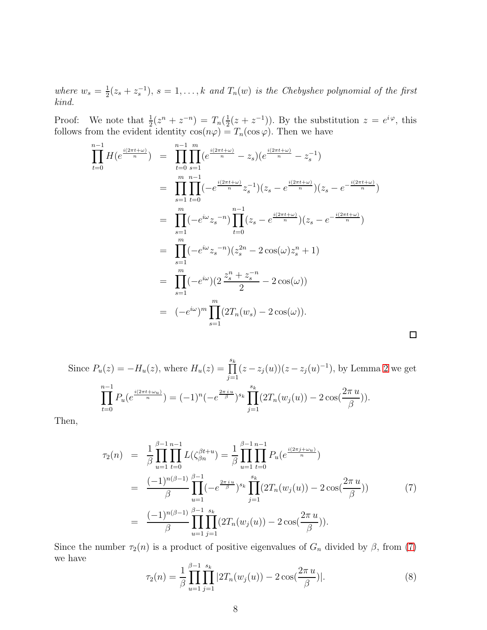where  $w_s = \frac{1}{2}$  $\frac{1}{2}(z_s + z_s^{-1}), s = 1, \ldots, k$  and  $T_n(w)$  is the Chebyshev polynomial of the first kind.

Proof: We note that  $\frac{1}{2}(z^n + z^{-n}) = T_n(\frac{1}{2})$  $(\frac{1}{2}(z+z^{-1}))$ . By the substitution  $z=e^{i\varphi}$ , this follows from the evident identity  $\cos(n\varphi) = T_n(\cos \varphi)$ . Then we have

$$
\prod_{t=0}^{n-1} H(e^{\frac{i(2\pi t + \omega)}{n}}) = \prod_{t=0}^{n-1} \prod_{s=1}^{m} (e^{\frac{i(2\pi t + \omega)}{n}} - z_s)(e^{\frac{i(2\pi t + \omega)}{n}} - z_s^{-1})
$$
\n
$$
= \prod_{s=1}^{m} \prod_{t=0}^{n-1} (-e^{\frac{i(2\pi t + \omega)}{n}} z_s^{-1})(z_s - e^{\frac{i(2\pi t + \omega)}{n}})(z_s - e^{-\frac{i(2\pi t + \omega)}{n}})
$$
\n
$$
= \prod_{s=1}^{m} (-e^{i\omega} z_s^{-n}) \prod_{t=0}^{n-1} (z_s - e^{\frac{i(2\pi t + \omega)}{n}})(z_s - e^{-\frac{i(2\pi t + \omega)}{n}})
$$
\n
$$
= \prod_{s=1}^{m} (-e^{i\omega} z_s^{-n})(z_s^{2n} - 2\cos(\omega) z_s^{n} + 1)
$$
\n
$$
= \prod_{s=1}^{m} (-e^{i\omega})(2\frac{z_s^{n} + z_s^{-n}}{2} - 2\cos(\omega))
$$
\n
$$
= (-e^{i\omega})^{m} \prod_{s=1}^{m} (2T_n(w_s) - 2\cos(\omega)).
$$

Since  $P_u(z) = -H_u(z)$ , where  $H_u(z) = \prod_{j=1}^{s_k} (z - z_j(u))(z - z_j(u)^{-1})$ , by Lemma [2](#page-6-0) we get n−1<br>∏  $t=0$  $P_u(e^{\frac{i(2\pi t + \omega_u)}{n}}) = (-1)^n (-e^{\frac{2\pi i u}{\beta}})^{s_k} \prod^{s_k}$  $j=1$  $(2T_n(w_j(u)) - 2\cos(\frac{2\pi u}{\beta}))$ )).

Then,

<span id="page-7-0"></span>
$$
\tau_2(n) = \frac{1}{\beta} \prod_{u=1}^{\beta-1} \prod_{t=0}^{n-1} L(\zeta_{\beta n}^{\beta t+u}) = \frac{1}{\beta} \prod_{u=1}^{\beta-1} \prod_{t=0}^{n-1} P_u(e^{\frac{i(2\pi j + \omega_u)}{n}})
$$
  
\n
$$
= \frac{(-1)^{n(\beta-1)}}{\beta} \prod_{u=1}^{\beta-1} (-e^{\frac{2\pi i u}{\beta}})^{s_k} \prod_{j=1}^{s_k} (2T_n(w_j(u)) - 2\cos(\frac{2\pi u}{\beta}))
$$
(7)  
\n
$$
= \frac{(-1)^{n(\beta-1)}}{\beta} \prod_{u=1}^{\beta-1} \prod_{j=1}^{s_k} (2T_n(w_j(u)) - 2\cos(\frac{2\pi u}{\beta})).
$$

Since the number  $\tau_2(n)$  is a product of positive eigenvalues of  $G_n$  divided by  $\beta$ , from [\(7\)](#page-7-0) we have

<span id="page-7-1"></span>
$$
\tau_2(n) = \frac{1}{\beta} \prod_{u=1}^{\beta-1} \prod_{j=1}^{s_k} |2T_n(w_j(u)) - 2\cos(\frac{2\pi u}{\beta})|.
$$
\n(8)

 $\Box$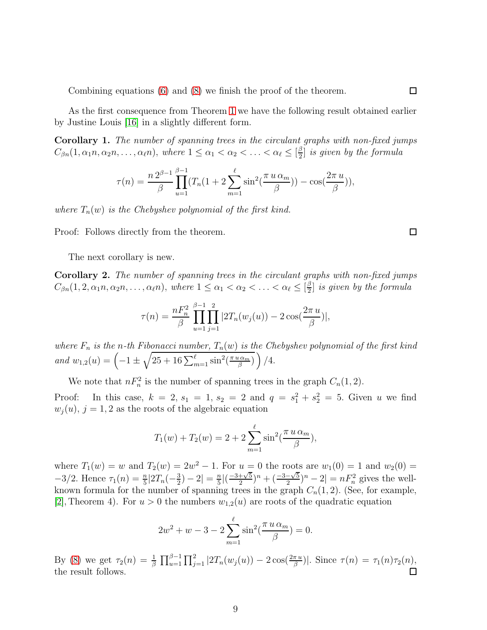Combining equations [\(6\)](#page-6-1) and [\(8\)](#page-7-1) we finish the proof of the theorem.

As the first consequence from Theorem [1](#page-4-1) we have the following result obtained earlier by Justine Louis [\[16\]](#page-15-5) in a slightly different form.

Corollary 1. The number of spanning trees in the circulant graphs with non-fixed jumps  $C_{\beta n}(1, \alpha_1 n, \alpha_2 n, \ldots, \alpha_\ell n), \text{ where } 1 \leq \alpha_1 < \alpha_2 < \ldots < \alpha_\ell \leq \lceil \frac{\beta}{2} \rceil$  $\frac{\beta}{2}$  is given by the formula

$$
\tau(n) = \frac{n 2^{\beta - 1}}{\beta} \prod_{u=1}^{\beta - 1} (T_n(1 + 2 \sum_{m=1}^{\ell} \sin^2(\frac{\pi u \alpha_m}{\beta})) - \cos(\frac{2\pi u}{\beta})),
$$

where  $T_n(w)$  is the Chebyshev polynomial of the first kind.

Proof: Follows directly from the theorem.

The next corollary is new.

Corollary 2. The number of spanning trees in the circulant graphs with non-fixed jumps  $C_{\beta n}(1, 2, \alpha_1 n, \alpha_2 n, \ldots, \alpha_\ell n), \text{ where } 1 \leq \alpha_1 < \alpha_2 < \ldots < \alpha_\ell \leq \lceil \frac{\beta}{2} \rceil$  $\frac{\beta}{2}$  is given by the formula

$$
\tau(n) = \frac{nF_n^2}{\beta} \prod_{u=1}^{\beta-1} \prod_{j=1}^2 |2T_n(w_j(u)) - 2\cos(\frac{2\pi u}{\beta})|,
$$

where  $F_n$  is the n-th Fibonacci number,  $T_n(w)$  is the Chebyshev polynomial of the first kind and  $w_{1,2}(u) = \left(-1 \pm \sqrt{25 + 16 \sum_{m=1}^{\ell} \sin^2(\frac{\pi u \alpha_m}{\beta})}\right)$  $\sqrt{\frac{\alpha_m}{\beta}}$  ) /4.

We note that  $nF_n^2$  is the number of spanning trees in the graph  $C_n(1, 2)$ .

Proof: In this case,  $k = 2$ ,  $s_1 = 1$ ,  $s_2 = 2$  and  $q = s_1^2 + s_2^2 = 5$ . Given u we find  $w_j(u)$ ,  $j = 1, 2$  as the roots of the algebraic equation

$$
T_1(w) + T_2(w) = 2 + 2 \sum_{m=1}^{\ell} \sin^2(\frac{\pi u \alpha_m}{\beta}),
$$

where  $T_1(w) = w$  and  $T_2(w) = 2w^2 - 1$ . For  $u = 0$  the roots are  $w_1(0) = 1$  and  $w_2(0) = 1$ .  $-3/2$ . Hence  $\tau_1(n) = \frac{n}{5} | 2T_n(-\frac{3}{2})|$  $\frac{3}{2}$ ) – 2 $\left| = \frac{n}{5} \right|$  $\frac{n}{5}$  $\left( \frac{-3+\sqrt{5}}{2} \right)$  $\frac{+\sqrt{5}}{2}$ <sup>n</sup> +  $\left(\frac{-3-\sqrt{5}}{2}\right)$  $\frac{-\sqrt{5}}{2}$  $)^n - 2| = nF_n^2$  gives the wellknown formula for the number of spanning trees in the graph  $C_n(1, 2)$ . (See, for example, [\[2\]](#page-14-2), Theorem 4). For  $u > 0$  the numbers  $w_{1,2}(u)$  are roots of the quadratic equation

$$
2w^{2} + w - 3 - 2\sum_{m=1}^{\ell} \sin^{2}(\frac{\pi u \alpha_{m}}{\beta}) = 0.
$$

By [\(8\)](#page-7-1) we get  $\tau_2(n) = \frac{1}{\beta} \prod_{u=1}^{\beta-1} \prod_{j=1}^2 |2T_n(w_j(u)) - 2\cos(\frac{2\pi u}{\beta})|$ . Since  $\tau(n) = \tau_1(n)\tau_2(n)$ , the result follows.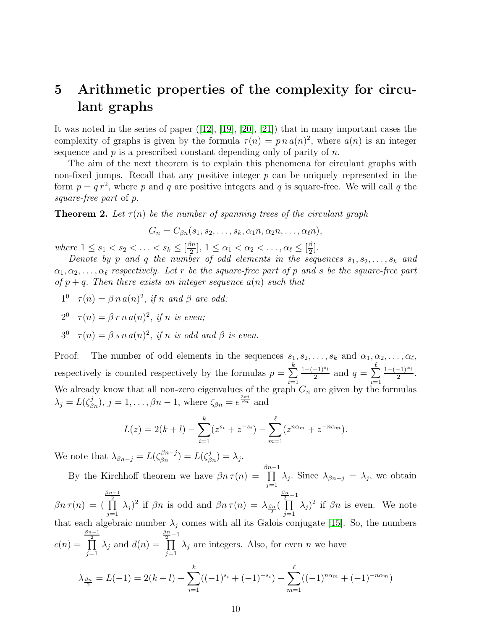## <span id="page-9-0"></span>5 Arithmetic properties of the complexity for circulant graphs

It was noted in the series of paper ([\[12\]](#page-14-5), [\[19\]](#page-15-6), [\[20\]](#page-15-12), [\[21\]](#page-15-13)) that in many important cases the complexity of graphs is given by the formula  $\tau(n) = p n a(n)^2$ , where  $a(n)$  is an integer sequence and  $p$  is a prescribed constant depending only of parity of  $n$ .

The aim of the next theorem is to explain this phenomena for circulant graphs with non-fixed jumps. Recall that any positive integer  $p$  can be uniquely represented in the form  $p = q r^2$ , where p and q are positive integers and q is square-free. We will call q the square-free part of p.

<span id="page-9-1"></span>**Theorem 2.** Let  $\tau(n)$  be the number of spanning trees of the circulant graph

$$
G_n = C_{\beta n}(s_1, s_2, \ldots, s_k, \alpha_1 n, \alpha_2 n, \ldots, \alpha_\ell n),
$$

where  $1 \leq s_1 < s_2 < \ldots < s_k \leq \lceil \frac{\beta n}{2} \rceil$  $\left[\frac{\beta n}{2}\right], 1 \leq \alpha_1 < \alpha_2 < \ldots, \alpha_\ell \leq \left[\frac{\beta}{2}\right]$  $\frac{\beta}{2}$ .

Denote by p and q the number of odd elements in the sequences  $s_1, s_2, \ldots, s_k$  and  $\alpha_1, \alpha_2, \ldots, \alpha_\ell$  respectively. Let r be the square-free part of p and s be the square-free part of  $p + q$ . Then there exists an integer sequence  $a(n)$  such that

 $1^0$   $\tau(n) = \beta n a(n)^2$ , if n and  $\beta$  are odd;

$$
2^0 \quad \tau(n) = \beta \, r \, n \, a(n)^2, \text{ if } n \text{ is even};
$$

3 0  $\tau(n) = \beta \, s \, n \, a(n)^2$ , if n is odd and  $\beta$  is even.

Proof: The number of odd elements in the sequences  $s_1, s_2, \ldots, s_k$  and  $\alpha_1, \alpha_2, \ldots, \alpha_\ell$ , respectively is counted respectively by the formulas  $p = \sum^{k}$  $i=1$  $\frac{1-(-1)^{s_i}}{2}$  and  $q = \sum_{i=1}^{\ell}$  $i=1$  $\frac{1-(-1)^{\alpha_i}}{2}$ . We already know that all non-zero eigenvalues of the graph  $G_n$  are given by the formulas  $\lambda_j = L(\zeta_{\beta n}^j), j = 1, \ldots, \beta n - 1$ , where  $\zeta_{\beta n} = e^{\frac{2\pi i}{\beta n}}$  and

$$
L(z) = 2(k+l) - \sum_{i=1}^{k} (z^{s_i} + z^{-s_i}) - \sum_{m=1}^{\ell} (z^{n\alpha_m} + z^{-n\alpha_m}).
$$

We note that  $\lambda_{\beta n-j} = L(\zeta_{\beta n}^{\beta n-j}) = L(\zeta_{\beta n}^j) = \lambda_j$ .

By the Kirchhoff theorem we have  $\beta n \tau(n) =$  $\overline{\prod}^{3n-1}$  $j=1$  $\lambda_j$ . Since  $\lambda_{\beta n-j} = \lambda_j$ , we obtain  $\beta n \tau(n) = ($  $\frac{\beta n-1}{\prod}$  $j=1$  $(\lambda_j)^2$  if  $\beta_n$  is odd and  $\beta_n \tau(n) = \lambda_{\frac{\beta_n}{2}}(n)$  $\frac{\beta n}{2}-1$  $j=1$  $(\lambda_j)^2$  if  $\beta_n$  is even. We note that each algebraic number  $\lambda_j$  comes with all its Galois conjugate [\[15\]](#page-14-14). So, the numbers  $c(n) =$  $\frac{\beta n-1}{\prod}$  $j=1$  $\lambda_j$  and  $d(n) =$  $\frac{\frac{\beta n}{2}-1}{\prod}$  $j=1$  $\lambda_j$  are integers. Also, for even n we have k  $\ell$ 

$$
\lambda_{\frac{\beta n}{2}} = L(-1) = 2(k+l) - \sum_{i=1}^{k} ((-1)^{s_i} + (-1)^{-s_i}) - \sum_{m=1}^{k} ((-1)^{n\alpha_m} + (-1)^{-n\alpha_m})
$$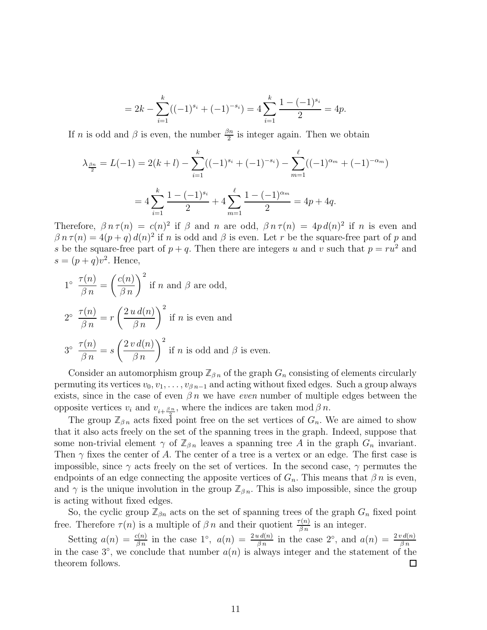$$
= 2k - \sum_{i=1}^{k} ((-1)^{s_i} + (-1)^{-s_i}) = 4\sum_{i=1}^{k} \frac{1 - (-1)^{s_i}}{2} = 4p.
$$

If *n* is odd and  $\beta$  is even, the number  $\frac{\beta n}{2}$  is integer again. Then we obtain

$$
\lambda_{\frac{\beta n}{2}} = L(-1) = 2(k+l) - \sum_{i=1}^{k} ((-1)^{s_i} + (-1)^{-s_i}) - \sum_{m=1}^{\ell} ((-1)^{\alpha_m} + (-1)^{-\alpha_m})
$$
  
=  $4 \sum_{i=1}^{k} \frac{1 - (-1)^{s_i}}{2} + 4 \sum_{m=1}^{\ell} \frac{1 - (-1)^{\alpha_m}}{2} = 4p + 4q.$ 

Therefore,  $\beta n \tau(n) = c(n)^2$  if  $\beta$  and n are odd,  $\beta n \tau(n) = 4p d(n)^2$  if n is even and  $\beta n \tau(n) = 4(p+q) d(n)^2$  if n is odd and  $\beta$  is even. Let r be the square-free part of p and s be the square-free part of  $p + q$ . Then there are integers u and v such that  $p = ru^2$  and  $s = (p+q)v^2$ . Hence,

1° 
$$
\frac{\tau(n)}{\beta n} = \left(\frac{c(n)}{\beta n}\right)^2
$$
 if *n* and  $\beta$  are odd,  
\n2°  $\frac{\tau(n)}{\beta n} = r \left(\frac{2 u d(n)}{\beta n}\right)^2$  if *n* is even and  
\n3°  $\frac{\tau(n)}{\beta n} = s \left(\frac{2 v d(n)}{\beta n}\right)^2$  if *n* is odd and  $\beta$  is even.

Consider an automorphism group  $\mathbb{Z}_{\beta n}$  of the graph  $G_n$  consisting of elements circularly permuting its vertices  $v_0, v_1, \ldots, v_{\beta n-1}$  and acting without fixed edges. Such a group always exists, since in the case of even  $\beta n$  we have *even* number of multiple edges between the opposite vertices  $v_i$  and  $v_{i+\frac{\beta n}{2}}$ , where the indices are taken mod  $\beta n$ .

The group  $\mathbb{Z}_{\beta n}$  acts fixed point free on the set vertices of  $G_n$ . We are aimed to show that it also acts freely on the set of the spanning trees in the graph. Indeed, suppose that some non-trivial element  $\gamma$  of  $\mathbb{Z}_{\beta n}$  leaves a spanning tree A in the graph  $G_n$  invariant. Then  $\gamma$  fixes the center of A. The center of a tree is a vertex or an edge. The first case is impossible, since  $\gamma$  acts freely on the set of vertices. In the second case,  $\gamma$  permutes the endpoints of an edge connecting the apposite vertices of  $G_n$ . This means that  $\beta n$  is even, and  $\gamma$  is the unique involution in the group  $\mathbb{Z}_{\beta n}$ . This is also impossible, since the group is acting without fixed edges.

So, the cyclic group  $\mathbb{Z}_{\beta n}$  acts on the set of spanning trees of the graph  $G_n$  fixed point free. Therefore  $\tau(n)$  is a multiple of  $\beta n$  and their quotient  $\frac{\tau(n)}{\beta n}$  is an integer.

Setting  $a(n) = \frac{c(n)}{\beta n}$  in the case 1°,  $a(n) = \frac{2 u d(n)}{\beta n}$  in the case 2°, and  $a(n) = \frac{2 v d(n)}{\beta n}$ in the case  $3^{\circ}$ , we conclude that number  $a(n)$  is always integer and the statement of the theorem follows.  $\Box$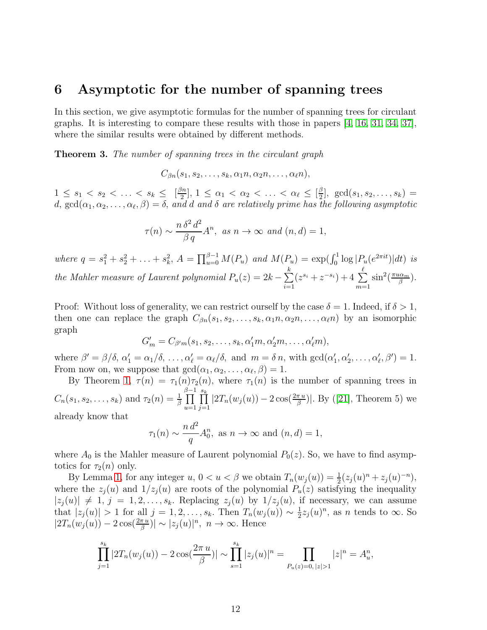#### <span id="page-11-0"></span>6 Asymptotic for the number of spanning trees

In this section, we give asymptotic formulas for the number of spanning trees for circulant graphs. It is interesting to compare these results with those in papers [\[4,](#page-14-10) [16,](#page-15-5) [31,](#page-16-0) [34,](#page-16-3) [37\]](#page-16-6), where the similar results were obtained by different methods.

Theorem 3. The number of spanning trees in the circulant graph

$$
C_{\beta n}(s_1,s_2,\ldots,s_k,\alpha_1 n,\alpha_2 n,\ldots,\alpha_\ell n),
$$

 $1 \leq s_1 < s_2 < \ldots < s_k \leq \lceil \frac{\beta n}{2} \rceil$  $\left[\frac{3n}{2}\right], 1 \leq \alpha_1 < \alpha_2 < \ldots < \alpha_\ell \leq \left[\frac{\beta}{2}\right]$  $\frac{p}{2}$ , gcd(s<sub>1</sub>, s<sub>2</sub>, ..., s<sub>k</sub>) = d,  $gcd(\alpha_1, \alpha_2, \ldots, \alpha_\ell, \beta) = \delta$ , and d and  $\delta$  are relatively prime has the following asymptotic

$$
\tau(n) \sim \frac{n \,\delta^2 \,d^2}{\beta \,q} A^n, \text{ as } n \to \infty \text{ and } (n,d) = 1,
$$

where  $q = s_1^2 + s_2^2 + \ldots + s_k^2$ ,  $A = \prod_{u=0}^{\beta-1} M(P_u)$  and  $M(P_u) = \exp(\int_0^1 \log |P_u(e^{2\pi i t})| dt)$  is the Mahler measure of Laurent polynomial  $P_u(z) = 2k - \sum_{n=1}^{k}$  $i=1$  $(z^{s_i} + z^{-s_i}) + 4 \sum^{\ell}$  $m=1$  $\sin^2(\frac{\pi u\alpha_m}{\beta})$  $\frac{\iota\alpha_m}{\beta}).$ 

Proof: Without loss of generality, we can restrict ourself by the case  $\delta = 1$ . Indeed, if  $\delta > 1$ , then one can replace the graph  $C_{\beta n}(s_1, s_2, \ldots, s_k, \alpha_1 n, \alpha_2 n, \ldots, \alpha_\ell n)$  by an isomorphic graph

$$
G'_m = C_{\beta' m}(s_1, s_2, \dots, s_k, \alpha'_1 m, \alpha'_2 m, \dots, \alpha'_\ell m),
$$

where  $\beta' = \beta/\delta$ ,  $\alpha'_1 = \alpha_1/\delta$ , ...,  $\alpha'_\ell = \alpha_\ell/\delta$ , and  $m = \delta n$ , with  $gcd(\alpha'_1, \alpha'_2, \ldots, \alpha'_\ell, \beta') = 1$ . From now on, we suppose that  $gcd(\alpha_1, \alpha_2, \ldots, \alpha_\ell, \beta) = 1$ .

By Theorem [1,](#page-4-1)  $\tau(n) = \tau_1(n) \tau_2(n)$ , where  $\tau_1(n)$  is the number of spanning trees in  $C_n(s_1, s_2, \ldots, s_k)$  and  $\tau_2(n) = \frac{1}{\beta}$  $\prod^{\beta-1}$  $u=1$  $\prod^{s_k}$  $\prod_{j=1}^{n} |2T_n(w_j(u)) - 2\cos(\frac{2\pi u}{\beta})|$ . By ([\[21\]](#page-15-13), Theorem 5) we already know that

$$
\tau_1(n) \sim \frac{n d^2}{q} A_0^n
$$
, as  $n \to \infty$  and  $(n, d) = 1$ ,

where  $A_0$  is the Mahler measure of Laurent polynomial  $P_0(z)$ . So, we have to find asymptotics for  $\tau_2(n)$  only.

By Lemma [1,](#page-4-2) for any integer  $u, 0 < u < \beta$  we obtain  $T_n(w_j(u)) = \frac{1}{2}(z_j(u)^n + z_j(u)^{-n}),$ where the  $z_i(u)$  and  $1/z_i(u)$  are roots of the polynomial  $P_u(z)$  satisfying the inequality  $|z_i(u)| \neq 1, j = 1, 2, \ldots, s_k$ . Replacing  $z_i(u)$  by  $1/z_i(u)$ , if necessary, we can assume that  $|z_j(u)| > 1$  for all  $j = 1, 2, ..., s_k$ . Then  $T_n(w_j(u)) \sim \frac{1}{2}$  $\frac{1}{2}z_j(u)^n$ , as *n* tends to  $\infty$ . So  $|2T_n(w_j(u)) - 2\cos(\frac{2\pi u}{\beta})| \sim |z_j(u)|^n$ ,  $n \to \infty$ . Hence

$$
\prod_{j=1}^{s_k} |2T_n(w_j(u)) - 2\cos(\frac{2\pi u}{\beta})| \sim \prod_{s=1}^{s_k} |z_j(u)|^n = \prod_{P_u(z) = 0, |z| > 1} |z|^n = A_u^n,
$$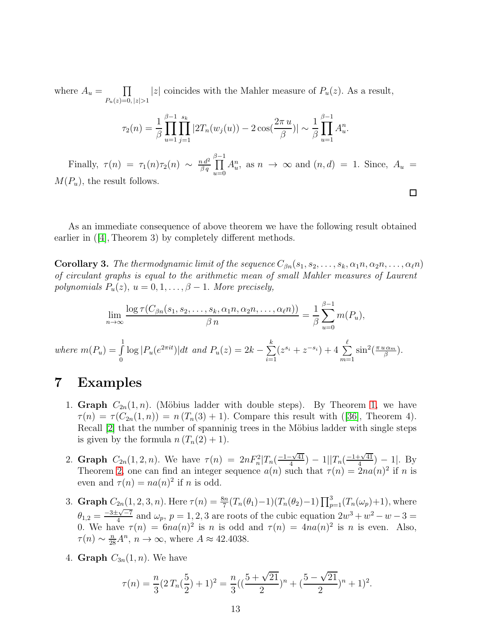where  $A_u = \prod$  $P_u(z)=0, |z|>1$ |z| coincides with the Mahler measure of  $P_u(z)$ . As a result,

$$
\tau_2(n) = \frac{1}{\beta} \prod_{u=1}^{\beta-1} \prod_{j=1}^{s_k} |2T_n(w_j(u)) - 2\cos(\frac{2\pi u}{\beta})| \sim \frac{1}{\beta} \prod_{u=1}^{\beta-1} A_u^n.
$$

Finally,  $\tau(n) = \tau_1(n)\tau_2(n) \sim \frac{n d^2}{\beta q}$  $\beta$   $q$  $\prod^{\beta-1}$  $u=0$  $A_u^n$ , as  $n \to \infty$  and  $(n,d) = 1$ . Since,  $A_u =$  $M(P_u)$ , the result follows.

 $\Box$ 

As an immediate consequence of above theorem we have the following result obtained earlier in  $([4],$  $([4],$  $([4],$  Theorem 3) by completely different methods.

<span id="page-12-0"></span>**Corollary 3.** The thermodynamic limit of the sequence  $C_{\beta n}(s_1, s_2, \ldots, s_k, \alpha_1 n, \alpha_2 n, \ldots, \alpha_\ell n)$ of circulant graphs is equal to the arithmetic mean of small Mahler measures of Laurent polynomials  $P_u(z)$ ,  $u = 0, 1, \ldots, \beta - 1$ . More precisely,

$$
\lim_{n \to \infty} \frac{\log \tau(C_{\beta n}(s_1, s_2, \dots, s_k, \alpha_1 n, \alpha_2 n, \dots, \alpha_\ell n))}{\beta n} = \frac{1}{\beta} \sum_{u=0}^{\beta - 1} m(P_u),
$$
  
where  $m(P_u) = \int_0^1 \log |P_u(e^{2\pi i t})| dt$  and  $P_u(z) = 2k - \sum_{i=1}^k (z^{s_i} + z^{-s_i}) + 4 \sum_{m=1}^\ell \sin^2(\frac{\pi u \alpha_m}{\beta}).$ 

### <span id="page-12-1"></span>7 Examples

- 1. Graph  $C_{2n}(1,n)$ . (Möbius ladder with double steps). By Theorem [1,](#page-4-1) we have  $\tau(n) = \tau(C_{2n}(1, n)) = n(T_n(3) + 1)$ . Compare this result with ([\[36\]](#page-16-5), Theorem 4). Recall [\[2\]](#page-14-2) that the number of spanninig trees in the Möbius ladder with single steps is given by the formula  $n (T_n(2) + 1)$ .
- 2. Graph  $C_{2n}(1,2,n)$ . We have  $\tau(n) = 2nF_n^2|T_n(\frac{-1-\sqrt{41}}{4})|$  $\frac{-\sqrt{41}}{4}$ ) – 1|| $T_n(\frac{-1+\sqrt{41}}{4})$  $\frac{(-1)^{41}}{4}$  – 1. By Theorem [2,](#page-9-1) one can find an integer sequence  $a(n)$  such that  $\tau(n) = 2na(n)^2$  if n is even and  $\tau(n) = na(n)^2$  if n is odd.
- 3. **Graph**  $C_{2n}(1, 2, 3, n)$ . Here  $\tau(n) = \frac{8n}{7}(T_n(\theta_1) 1)(T_n(\theta_2) 1) \prod_{p=1}^3 (T_n(\omega_p) + 1)$ , where  $\theta_{1,2} = \frac{-3 \pm \sqrt{-7}}{4}$  and  $\omega_p$ ,  $p = 1, 2, 3$  are roots of the cubic equation  $2w^3 + w^2 - w - 3 = 0$ 0. We have  $\tau(n) = 6na(n)^2$  is n is odd and  $\tau(n) = 4na(n)^2$  is n is even. Also,  $\tau(n) \sim \frac{n}{28}A^n$ ,  $n \to \infty$ , where  $A \approx 42.4038$ .
- 4. Graph  $C_{3n}(1, n)$ . We have

$$
\tau(n) = \frac{n}{3}(2T_n(\frac{5}{2}) + 1)^2 = \frac{n}{3}((\frac{5+\sqrt{21}}{2})^n + (\frac{5-\sqrt{21}}{2})^n + 1)^2.
$$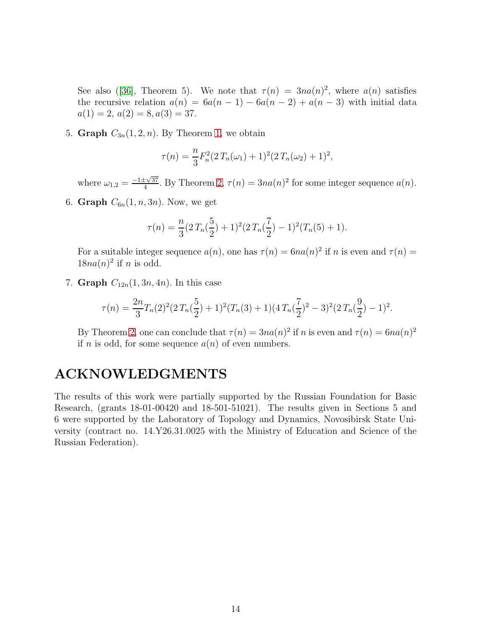See also ([\[36\]](#page-16-5), Theorem 5). We note that  $\tau(n) = 3n a(n)^2$ , where  $a(n)$  satisfies the recursive relation  $a(n) = 6a(n-1) - 6a(n-2) + a(n-3)$  with initial data  $a(1) = 2, a(2) = 8, a(3) = 37.$ 

5. Graph  $C_{3n}(1, 2, n)$ . By Theorem [1,](#page-4-1) we obtain

$$
\tau(n) = \frac{n}{3} F_n^2 (2 T_n(\omega_1) + 1)^2 (2 T_n(\omega_2) + 1)^2,
$$

where  $\omega_{1,2} = \frac{-1 \pm \sqrt{37}}{4}$  $\frac{\pm\sqrt{37}}{4}$ . By Theorem [2,](#page-9-1)  $\tau(n) = 3na(n)^2$  for some integer sequence  $a(n)$ .

6. Graph  $C_{6n}(1, n, 3n)$ . Now, we get

$$
\tau(n) = \frac{n}{3}(2T_n(\frac{5}{2}) + 1)^2(2T_n(\frac{7}{2}) - 1)^2(T_n(5) + 1).
$$

For a suitable integer sequence  $a(n)$ , one has  $\tau(n) = 6na(n)^2$  if n is even and  $\tau(n) =$  $18na(n)^2$  if *n* is odd.

7. Graph  $C_{12n}(1, 3n, 4n)$ . In this case

$$
\tau(n) = \frac{2n}{3}T_n(2)^2(2T_n(\frac{5}{2})+1)^2(T_n(3)+1)(4T_n(\frac{7}{2})^2-3)^2(2T_n(\frac{9}{2})-1)^2.
$$

By Theorem [2,](#page-9-1) one can conclude that  $\tau(n) = 3na(n)^2$  if n is even and  $\tau(n) = 6na(n)^2$ if *n* is odd, for some sequence  $a(n)$  of even numbers.

### ACKNOWLEDGMENTS

The results of this work were partially supported by the Russian Foundation for Basic Research, (grants 18-01-00420 and 18-501-51021). The results given in Sections 5 and 6 were supported by the Laboratory of Topology and Dynamics, Novosibirsk State University (contract no. 14.Y26.31.0025 with the Ministry of Education and Science of the Russian Federation).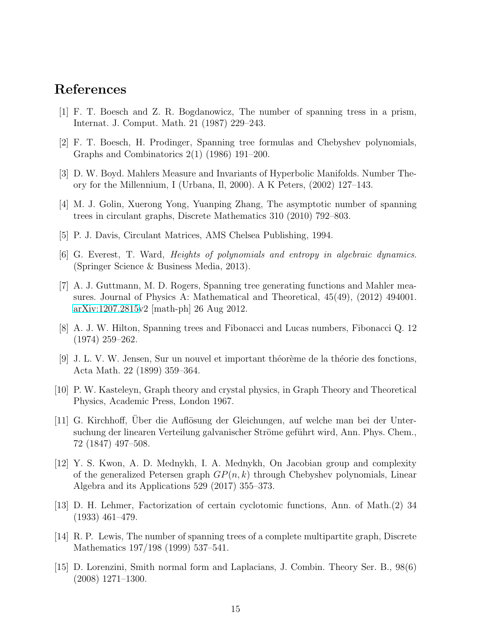### <span id="page-14-4"></span>References

- <span id="page-14-2"></span>[1] F. T. Boesch and Z. R. Bogdanowicz, The number of spanning tress in a prism, Internat. J. Comput. Math. 21 (1987) 229–243.
- <span id="page-14-8"></span>[2] F. T. Boesch, H. Prodinger, Spanning tree formulas and Chebyshev polynomials, Graphs and Combinatorics 2(1) (1986) 191–200.
- <span id="page-14-10"></span>[3] D. W. Boyd. Mahlers Measure and Invariants of Hyperbolic Manifolds. Number Theory for the Millennium, I (Urbana, Il, 2000). A K Peters, (2002) 127–143.
- <span id="page-14-11"></span>[4] M. J. Golin, Xuerong Yong, Yuanping Zhang, The asymptotic number of spanning trees in circulant graphs, Discrete Mathematics 310 (2010) 792–803.
- <span id="page-14-7"></span>[5] P. J. Davis, Circulant Matrices, AMS Chelsea Publishing, 1994.
- <span id="page-14-6"></span>[6] G. Everest, T. Ward, Heights of polynomials and entropy in algebraic dynamics. (Springer Science & Business Media, 2013).
- [7] A. J. Guttmann, M. D. Rogers, Spanning tree generating functions and Mahler measures. Journal of Physics A: Mathematical and Theoretical, 45(49), (2012) 494001. [arXiv:1207.2815v](http://arxiv.org/abs/1207.2815)2 [math-ph] 26 Aug 2012.
- <span id="page-14-13"></span><span id="page-14-3"></span>[8] A. J. W. Hilton, Spanning trees and Fibonacci and Lucas numbers, Fibonacci Q. 12 (1974) 259–262.
- $[9]$  J. L. V. W. Jensen, Sur un nouvel et important théorème de la théorie des fonctions, Acta Math. 22 (1899) 359–364.
- <span id="page-14-9"></span><span id="page-14-0"></span>[10] P. W. Kasteleyn, Graph theory and crystal physics, in Graph Theory and Theoretical Physics, Academic Press, London 1967.
- [11] G. Kirchhoff, Uber die Auflösung der Gleichungen, auf welche man bei der Untersuchung der linearen Verteilung galvanischer Ströme geführt wird, Ann. Phys. Chem., 72 (1847) 497–508.
- <span id="page-14-5"></span>[12] Y. S. Kwon, A. D. Mednykh, I. A. Mednykh, On Jacobian group and complexity of the generalized Petersen graph  $GP(n, k)$  through Chebyshev polynomials, Linear Algebra and its Applications 529 (2017) 355–373.
- <span id="page-14-12"></span>[13] D. H. Lehmer, Factorization of certain cyclotomic functions, Ann. of Math.(2) 34 (1933) 461–479.
- <span id="page-14-1"></span>[14] R. P. Lewis, The number of spanning trees of a complete multipartite graph, Discrete Mathematics 197/198 (1999) 537–541.
- <span id="page-14-14"></span>[15] D. Lorenzini, Smith normal form and Laplacians, J. Combin. Theory Ser. B., 98(6) (2008) 1271–1300.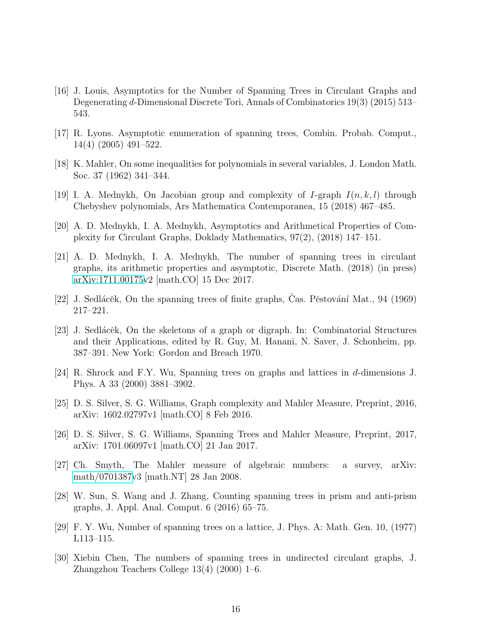- <span id="page-15-5"></span>[16] J. Louis, Asymptotics for the Number of Spanning Trees in Circulant Graphs and Degenerating d-Dimensional Discrete Tori, Annals of Combinatorics 19(3) (2015) 513– 543.
- <span id="page-15-14"></span><span id="page-15-10"></span>[17] R. Lyons. Asymptotic enumeration of spanning trees, Combin. Probab. Comput., 14(4) (2005) 491–522.
- <span id="page-15-6"></span>[18] K. Mahler, On some inequalities for polynomials in several variables, J. London Math. Soc. 37 (1962) 341–344.
- <span id="page-15-12"></span>[19] I. A. Mednykh, On Jacobian group and complexity of I-graph  $I(n, k, l)$  through Chebyshev polynomials, Ars Mathematica Contemporanea, 15 (2018) 467–485.
- <span id="page-15-13"></span>[20] A. D. Mednykh, I. A. Mednykh, Asymptotics and Arithmetical Properties of Complexity for Circulant Graphs, Doklady Mathematics, 97(2), (2018) 147–151.
- [21] A. D. Mednykh, I. A. Mednykh, The number of spanning trees in circulant graphs, its arithmetic properties and asymptotic, Discrete Math. (2018) (in press) [arXiv:1711.00175v](http://arxiv.org/abs/1711.00175)2 [math.CO] 15 Dec 2017.
- <span id="page-15-2"></span><span id="page-15-1"></span>[22] J. Sedlácěk, On the spanning trees of finite graphs, Cas. Pěstování Mat., 94 (1969) 217–221.
- [23] J. Sedlácĕk, On the skeletons of a graph or digraph. In: Combinatorial Structures and their Applications, edited by R. Guy, M. Hanani, N. Saver, J. Schonheim, pp. 387–391. New York: Gordon and Breach 1970.
- <span id="page-15-3"></span>[24] R. Shrock and F.Y. Wu, Spanning trees on graphs and lattices in d-dimensions J. Phys. A 33 (2000) 3881–3902.
- <span id="page-15-7"></span>[25] D. S. Silver, S. G. Williams, Graph complexity and Mahler Measure, Preprint, 2016, arXiv: 1602.02797v1 [math.CO] 8 Feb 2016.
- <span id="page-15-8"></span>[26] D. S. Silver, S. G. Williams, Spanning Trees and Mahler Measure, Preprint, 2017, arXiv: 1701.06097v1 [math.CO] 21 Jan 2017.
- <span id="page-15-9"></span>[27] Ch. Smyth, The Mahler measure of algebraic numbers: a survey, arXiv: [math/0701387v](http://arxiv.org/abs/math/0701387)3 [math.NT] 28 Jan 2008.
- <span id="page-15-0"></span>[28] W. Sun, S. Wang and J. Zhang, Counting spanning trees in prism and anti-prism graphs, J. Appl. Anal. Comput. 6 (2016) 65–75.
- <span id="page-15-11"></span><span id="page-15-4"></span>[29] F. Y. Wu, Number of spanning trees on a lattice, J. Phys. A: Math. Gen. 10, (1977) L113–115.
- [30] Xiebin Chen, The numbers of spanning trees in undirected circulant graphs, J. Zhangzhou Teachers College 13(4) (2000) 1–6.